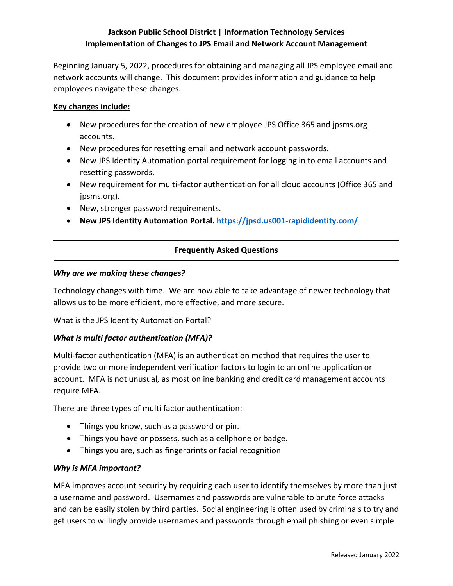# **Jackson Public School District | Information Technology Services Implementation of Changes to JPS Email and Network Account Management**

Beginning January 5, 2022, procedures for obtaining and managing all JPS employee email and network accounts will change. This document provides information and guidance to help employees navigate these changes.

### **Key changes include:**

- New procedures for the creation of new employee JPS Office 365 and jpsms.org accounts.
- New procedures for resetting email and network account passwords.
- New JPS Identity Automation portal requirement for logging in to email accounts and resetting passwords.
- New requirement for multi-factor authentication for all cloud accounts (Office 365 and jpsms.org).
- New, stronger password requirements.
- **New JPS Identity Automation Portal.<https://jpsd.us001-rapididentity.com/>**

### **Frequently Asked Questions**

#### *Why are we making these changes?*

Technology changes with time. We are now able to take advantage of newer technology that allows us to be more efficient, more effective, and more secure.

What is the JPS Identity Automation Portal?

### *What is multi factor authentication (MFA)?*

Multi-factor authentication (MFA) is an authentication method that requires the user to provide two or more independent verification factors to login to an online application or account. MFA is not unusual, as most online banking and credit card management accounts require MFA.

There are three types of multi factor authentication:

- Things you know, such as a password or pin.
- Things you have or possess, such as a cellphone or badge.
- Things you are, such as fingerprints or facial recognition

### *Why is MFA important?*

MFA improves account security by requiring each user to identify themselves by more than just a username and password. Usernames and passwords are vulnerable to brute force attacks and can be easily stolen by third parties. Social engineering is often used by criminals to try and get users to willingly provide usernames and passwords through email phishing or even simple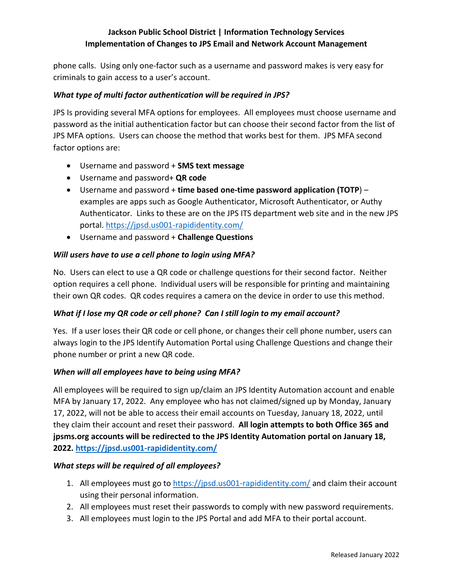# **Jackson Public School District | Information Technology Services Implementation of Changes to JPS Email and Network Account Management**

phone calls. Using only one-factor such as a username and password makes is very easy for criminals to gain access to a user's account.

## *What type of multi factor authentication will be required in JPS?*

JPS Is providing several MFA options for employees. All employees must choose username and password as the initial authentication factor but can choose their second factor from the list of JPS MFA options. Users can choose the method that works best for them. JPS MFA second factor options are:

- Username and password + **SMS text message**
- Username and password+ **QR code**
- Username and password + **time based one-time password application (TOTP**) examples are apps such as Google Authenticator, Microsoft Authenticator, or Authy Authenticator. Links to these are on the JPS ITS department web site and in the new JPS portal. <https://jpsd.us001-rapididentity.com/>
- Username and password + **Challenge Questions**

### *Will users have to use a cell phone to login using MFA?*

No. Users can elect to use a QR code or challenge questions for their second factor. Neither option requires a cell phone. Individual users will be responsible for printing and maintaining their own QR codes. QR codes requires a camera on the device in order to use this method.

## *What if I lose my QR code or cell phone? Can I still login to my email account?*

Yes. If a user loses their QR code or cell phone, or changes their cell phone number, users can always login to the JPS Identify Automation Portal using Challenge Questions and change their phone number or print a new QR code.

### *When will all employees have to being using MFA?*

All employees will be required to sign up/claim an JPS Identity Automation account and enable MFA by January 17, 2022. Any employee who has not claimed/signed up by Monday, January 17, 2022, will not be able to access their email accounts on Tuesday, January 18, 2022, until they claim their account and reset their password. **All login attempts to both Office 365 and jpsms.org accounts will be redirected to the JPS Identity Automation portal on January 18, 2022. <https://jpsd.us001-rapididentity.com/>**

### *What steps will be required of all employees?*

- 1. All employees must go to<https://jpsd.us001-rapididentity.com/> and claim their account using their personal information.
- 2. All employees must reset their passwords to comply with new password requirements.
- 3. All employees must login to the JPS Portal and add MFA to their portal account.